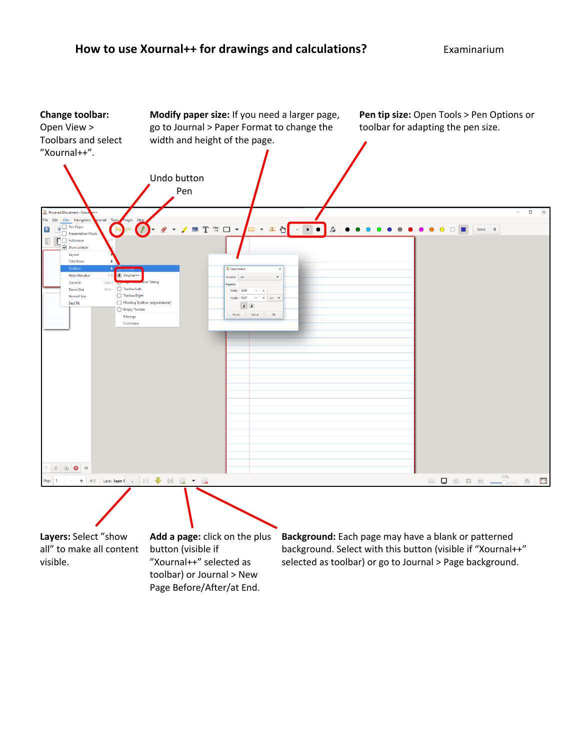